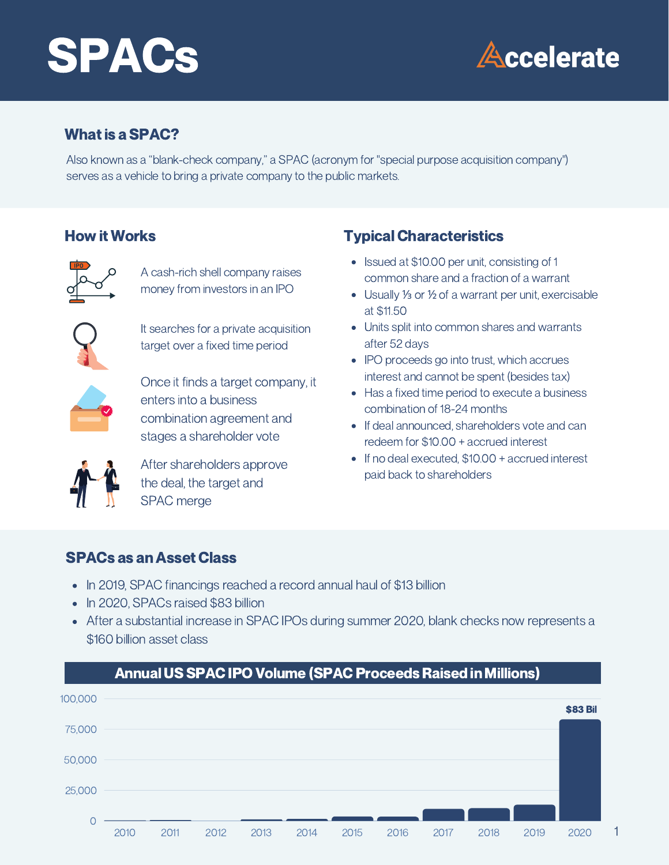# SPACs



### What is a **SPAC?**

Also known as a "blank-check company," a SPAC (acronym for "special purpose acquisition company") serves as a vehicle to bring a private company to the public markets.

#### How it Works



A cash-rich shell company raises money from investors in an IPO



It searches for a private acquisition target over a fixed time period



Once it finds a target company, it enters into a business combination agreement and stages a shareholder vote



After shareholders approve the deal, the target and SPAC merge

## **Typical Characteristics**

- Issued at \$10.00 per unit, consisting of 1 common share and a fraction of a warrant
- Usually ⅓ or ½ of a warrant per unit, exercisable at \$11.50
- Units split into common shares and warrants after 52 days
- IPO proceeds go into trust, which accrues interest and cannot be spent (besides tax)
- Has a fixed time period to execute a business combination of 18-24 months
- If deal announced, shareholders vote and can redeem for \$10.00 + accrued interest
- If no deal executed, \$10.00 + accrued interest paid back to shareholders

### SPACs as an Asset Class

- In 2019, SPAC financings reached a record annual haul of \$13 billion
- In 2020, SPACs raised \$83 billion
- After a substantial increase in SPAC IPOs during summer 2020, blank checks now represents a \$160 billion asset class

#### AnnualUS SPACIPO Volume (SPACProceeds Raised in Millions)